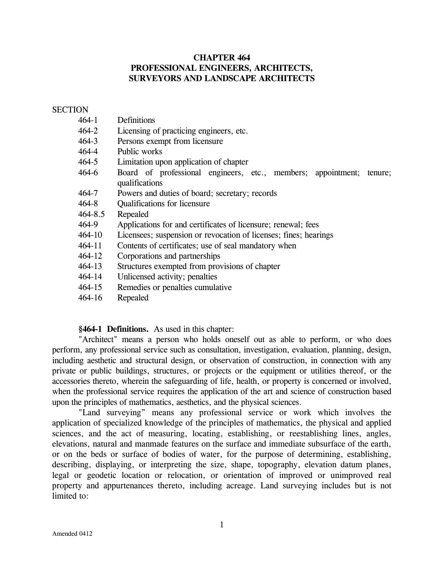# **CHAPTER 464 PROFESSIONAL ENGINEERS, ARCHITECTS, SURVEYORS AND LANDSCAPE ARCHITECTS**

### **SECTION**

| 464-1   | Definitions                                                                               |
|---------|-------------------------------------------------------------------------------------------|
| 464-2   | Licensing of practicing engineers, etc.                                                   |
| 464-3   | Persons exempt from licensure                                                             |
| 464-4   | Public works                                                                              |
| 464-5   | Limitation upon application of chapter                                                    |
| 464-6   | Board of professional engineers, etc., members; appointment;<br>tenure;<br>qualifications |
| 464-7   | Powers and duties of board; secretary; records                                            |
| 464-8   | Qualifications for licensure                                                              |
| 464-8.5 | Repealed                                                                                  |
| 464-9   | Applications for and certificates of licensure; renewal; fees                             |
| 464-10  | Licensees; suspension or revocation of licenses; fines; hearings                          |
| 464-11  | Contents of certificates; use of seal mandatory when                                      |
| 464-12  | Corporations and partnerships                                                             |
| 464-13  | Structures exempted from provisions of chapter                                            |
| 464-14  | Unlicensed activity; penalties                                                            |
| 464-15  | Remedies or penalties cumulative                                                          |
| 464-16  | Repealed                                                                                  |
|         |                                                                                           |

## **§464-1 Definitions.** As used in this chapter:

"Architect" means a person who holds oneself out as able to perform, or who does perform, any professional service such as consultation, investigation, evaluation, planning, design, including aesthetic and structural design, or observation of construction, in connection with any private or public buildings, structures, or projects or the equipment or utilities thereof, or the accessories thereto, wherein the safeguarding of life, health, or property is concerned or involved, when the professional service requires the application of the art and science of construction based upon the principles of mathematics, aesthetics, and the physical sciences.

"Land surveying" means any professional service or work which involves the application of specialized knowledge of the principles of mathematics, the physical and applied sciences, and the act of measuring, locating, establishing, or reestablishing lines, angles, elevations, natural and manmade features on the surface and immediate subsurface of the earth, or on the beds or surface of bodies of water, for the purpose of determining, establishing, describing, displaying, or interpreting the size, shape, topography, elevation datum planes, legal or geodetic location or relocation, or orientation of improved or unimproved real property and appurtenances thereto, including acreage. Land surveying includes but is not limited to: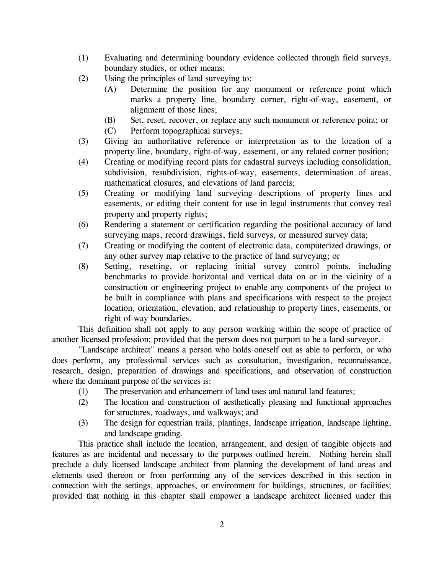- (1) Evaluating and determining boundary evidence collected through field surveys, boundary studies, or other means;
- (2) Using the principles of land surveying to:
	- (A) Determine the position for any monument or reference point which marks a property line, boundary corner, right-of-way, easement, or alignment of those lines;
	- (B) Set, reset, recover, or replace any such monument or reference point; or
	- (C) Perform topographical surveys;
- (3) Giving an authoritative reference or interpretation as to the location of a property line, boundary, right-of-way, easement, or any related corner position;
- (4) Creating or modifying record plats for cadastral surveys including consolidation, subdivision, resubdivision, rights-of-way, easements, determination of areas, mathematical closures, and elevations of land parcels;
- (5) Creating or modifying land surveying descriptions of property lines and easements, or editing their content for use in legal instruments that convey real property and property rights;
- (6) Rendering a statement or certification regarding the positional accuracy of land surveying maps, record drawings, field surveys, or measured survey data;
- (7) Creating or modifying the content of electronic data, computerized drawings, or any other survey map relative to the practice of land surveying; or
- (8) Setting, resetting, or replacing initial survey control points, including benchmarks to provide horizontal and vertical data on or in the vicinity of a construction or engineering project to enable any components of the project to be built in compliance with plans and specifications with respect to the project location, orientation, elevation, and relationship to property lines, easements, or right of-way boundaries.

This definition shall not apply to any person working within the scope of practice of another licensed profession; provided that the person does not purport to be a land surveyor.

"Landscape architect" means a person who holds oneself out as able to perform, or who does perform, any professional services such as consultation, investigation, reconnaissance, research, design, preparation of drawings and specifications, and observation of construction where the dominant purpose of the services is:

- (1) The preservation and enhancement of land uses and natural land features;
- (2) The location and construction of aesthetically pleasing and functional approaches for structures, roadways, and walkways; and
- (3) The design for equestrian trails, plantings, landscape irrigation, landscape lighting, and landscape grading.

This practice shall include the location, arrangement, and design of tangible objects and features as are incidental and necessary to the purposes outlined herein. Nothing herein shall preclude a duly licensed landscape architect from planning the development of land areas and elements used thereon or from performing any of the services described in this section in connection with the settings, approaches, or environment for buildings, structures, or facilities; provided that nothing in this chapter shall empower a landscape architect licensed under this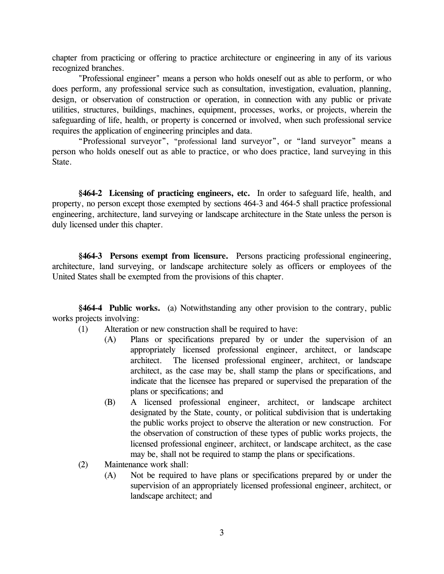chapter from practicing or offering to practice architecture or engineering in any of its various recognized branches.

"Professional engineer" means a person who holds oneself out as able to perform, or who does perform, any professional service such as consultation, investigation, evaluation, planning, design, or observation of construction or operation, in connection with any public or private utilities, structures, buildings, machines, equipment, processes, works, or projects, wherein the safeguarding of life, health, or property is concerned or involved, when such professional service requires the application of engineering principles and data.

"Professional surveyor", "professional land surveyor", or "land surveyor" means a person who holds oneself out as able to practice, or who does practice, land surveying in this State.

**§464-2 Licensing of practicing engineers, etc.** In order to safeguard life, health, and property, no person except those exempted by sections 464-3 and 464-5 shall practice professional engineering, architecture, land surveying or landscape architecture in the State unless the person is duly licensed under this chapter.

**§464-3 Persons exempt from licensure.** Persons practicing professional engineering, architecture, land surveying, or landscape architecture solely as officers or employees of the United States shall be exempted from the provisions of this chapter.

**§464-4 Public works.** (a) Notwithstanding any other provision to the contrary, public works projects involving:

- (1) Alteration or new construction shall be required to have:
	- (A) Plans or specifications prepared by or under the supervision of an appropriately licensed professional engineer, architect, or landscape architect. The licensed professional engineer, architect, or landscape architect, as the case may be, shall stamp the plans or specifications, and indicate that the licensee has prepared or supervised the preparation of the plans or specifications; and
	- (B) A licensed professional engineer, architect, or landscape architect designated by the State, county, or political subdivision that is undertaking the public works project to observe the alteration or new construction. For the observation of construction of these types of public works projects, the licensed professional engineer, architect, or landscape architect, as the case may be, shall not be required to stamp the plans or specifications.
- (2) Maintenance work shall:
	- (A) Not be required to have plans or specifications prepared by or under the supervision of an appropriately licensed professional engineer, architect, or landscape architect; and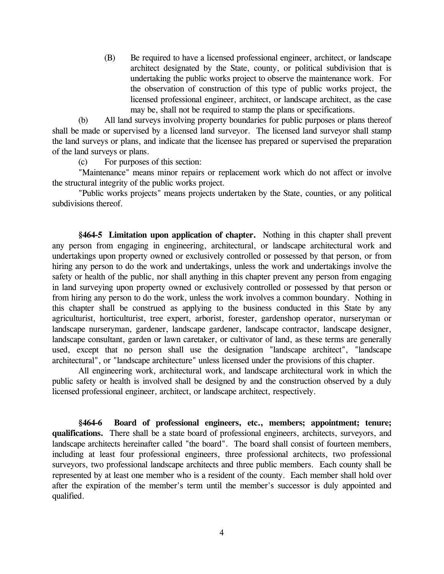(B) Be required to have a licensed professional engineer, architect, or landscape architect designated by the State, county, or political subdivision that is undertaking the public works project to observe the maintenance work. For the observation of construction of this type of public works project, the licensed professional engineer, architect, or landscape architect, as the case may be, shall not be required to stamp the plans or specifications.

(b) All land surveys involving property boundaries for public purposes or plans thereof shall be made or supervised by a licensed land surveyor. The licensed land surveyor shall stamp the land surveys or plans, and indicate that the licensee has prepared or supervised the preparation of the land surveys or plans.

(c) For purposes of this section:

 "Maintenance" means minor repairs or replacement work which do not affect or involve the structural integrity of the public works project.

"Public works projects" means projects undertaken by the State, counties, or any political subdivisions thereof.

**§464-5 Limitation upon application of chapter.** Nothing in this chapter shall prevent any person from engaging in engineering, architectural, or landscape architectural work and undertakings upon property owned or exclusively controlled or possessed by that person, or from hiring any person to do the work and undertakings, unless the work and undertakings involve the safety or health of the public, nor shall anything in this chapter prevent any person from engaging in land surveying upon property owned or exclusively controlled or possessed by that person or from hiring any person to do the work, unless the work involves a common boundary. Nothing in this chapter shall be construed as applying to the business conducted in this State by any agriculturist, horticulturist, tree expert, arborist, forester, gardenshop operator, nurseryman or landscape nurseryman, gardener, landscape gardener, landscape contractor, landscape designer, landscape consultant, garden or lawn caretaker, or cultivator of land, as these terms are generally used, except that no person shall use the designation "landscape architect", "landscape architectural", or "landscape architecture" unless licensed under the provisions of this chapter.

All engineering work, architectural work, and landscape architectural work in which the public safety or health is involved shall be designed by and the construction observed by a duly licensed professional engineer, architect, or landscape architect, respectively.

**§464-6 Board of professional engineers, etc., members; appointment; tenure; qualifications.** There shall be a state board of professional engineers, architects, surveyors, and landscape architects hereinafter called "the board". The board shall consist of fourteen members, including at least four professional engineers, three professional architects, two professional surveyors, two professional landscape architects and three public members. Each county shall be represented by at least one member who is a resident of the county. Each member shall hold over after the expiration of the member's term until the member's successor is duly appointed and qualified.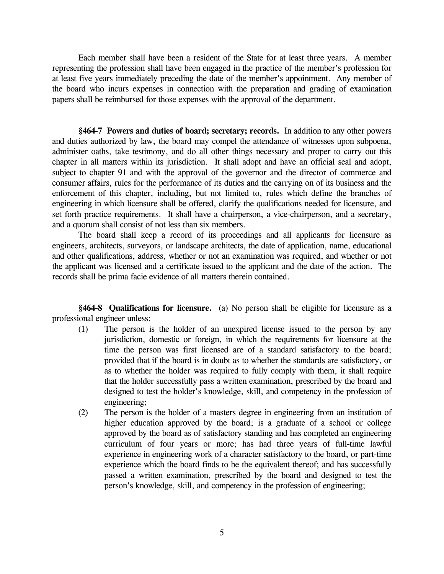Each member shall have been a resident of the State for at least three years. A member representing the profession shall have been engaged in the practice of the member's profession for at least five years immediately preceding the date of the member's appointment. Any member of the board who incurs expenses in connection with the preparation and grading of examination papers shall be reimbursed for those expenses with the approval of the department.

**§464-7 Powers and duties of board; secretary; records.** In addition to any other powers and duties authorized by law, the board may compel the attendance of witnesses upon subpoena, administer oaths, take testimony, and do all other things necessary and proper to carry out this chapter in all matters within its jurisdiction. It shall adopt and have an official seal and adopt, subject to chapter 91 and with the approval of the governor and the director of commerce and consumer affairs, rules for the performance of its duties and the carrying on of its business and the enforcement of this chapter, including, but not limited to, rules which define the branches of engineering in which licensure shall be offered, clarify the qualifications needed for licensure, and set forth practice requirements. It shall have a chairperson, a vice-chairperson, and a secretary, and a quorum shall consist of not less than six members.

The board shall keep a record of its proceedings and all applicants for licensure as engineers, architects, surveyors, or landscape architects, the date of application, name, educational and other qualifications, address, whether or not an examination was required, and whether or not the applicant was licensed and a certificate issued to the applicant and the date of the action. The records shall be prima facie evidence of all matters therein contained.

**§464-8 Qualifications for licensure.** (a) No person shall be eligible for licensure as a professional engineer unless:

- (1) The person is the holder of an unexpired license issued to the person by any jurisdiction, domestic or foreign, in which the requirements for licensure at the time the person was first licensed are of a standard satisfactory to the board; provided that if the board is in doubt as to whether the standards are satisfactory, or as to whether the holder was required to fully comply with them, it shall require that the holder successfully pass a written examination, prescribed by the board and designed to test the holder's knowledge, skill, and competency in the profession of engineering;
- (2) The person is the holder of a masters degree in engineering from an institution of higher education approved by the board; is a graduate of a school or college approved by the board as of satisfactory standing and has completed an engineering curriculum of four years or more; has had three years of full-time lawful experience in engineering work of a character satisfactory to the board, or part-time experience which the board finds to be the equivalent thereof; and has successfully passed a written examination, prescribed by the board and designed to test the person's knowledge, skill, and competency in the profession of engineering;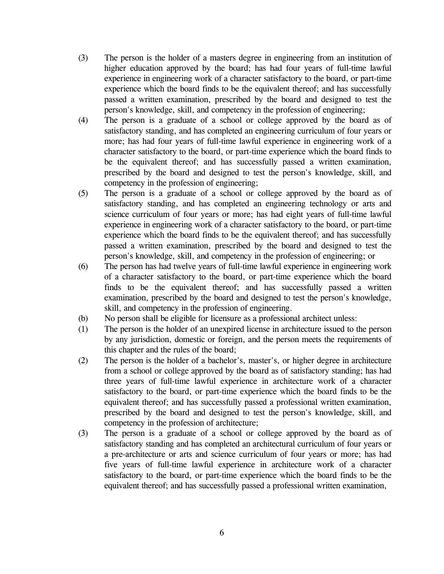- (3) The person is the holder of a masters degree in engineering from an institution of higher education approved by the board; has had four years of full-time lawful experience in engineering work of a character satisfactory to the board, or part-time experience which the board finds to be the equivalent thereof; and has successfully passed a written examination, prescribed by the board and designed to test the person's knowledge, skill, and competency in the profession of engineering;
- (4) The person is a graduate of a school or college approved by the board as of satisfactory standing, and has completed an engineering curriculum of four years or more; has had four years of full-time lawful experience in engineering work of a character satisfactory to the board, or part-time experience which the board finds to be the equivalent thereof; and has successfully passed a written examination, prescribed by the board and designed to test the person's knowledge, skill, and competency in the profession of engineering;
- (5) The person is a graduate of a school or college approved by the board as of satisfactory standing, and has completed an engineering technology or arts and science curriculum of four years or more; has had eight years of full-time lawful experience in engineering work of a character satisfactory to the board, or part-time experience which the board finds to be the equivalent thereof; and has successfully passed a written examination, prescribed by the board and designed to test the person's knowledge, skill, and competency in the profession of engineering; or
- (6) The person has had twelve years of full-time lawful experience in engineering work of a character satisfactory to the board, or part-time experience which the board finds to be the equivalent thereof; and has successfully passed a written examination, prescribed by the board and designed to test the person's knowledge, skill, and competency in the profession of engineering.
- (b) No person shall be eligible for licensure as a professional architect unless:
- (1) The person is the holder of an unexpired license in architecture issued to the person by any jurisdiction, domestic or foreign, and the person meets the requirements of this chapter and the rules of the board;
- (2) The person is the holder of a bachelor's, master's, or higher degree in architecture from a school or college approved by the board as of satisfactory standing; has had three years of full-time lawful experience in architecture work of a character satisfactory to the board, or part-time experience which the board finds to be the equivalent thereof; and has successfully passed a professional written examination, prescribed by the board and designed to test the person's knowledge, skill, and competency in the profession of architecture;
- (3) The person is a graduate of a school or college approved by the board as of satisfactory standing and has completed an architectural curriculum of four years or a pre-architecture or arts and science curriculum of four years or more; has had five years of full-time lawful experience in architecture work of a character satisfactory to the board, or part-time experience which the board finds to be the equivalent thereof; and has successfully passed a professional written examination,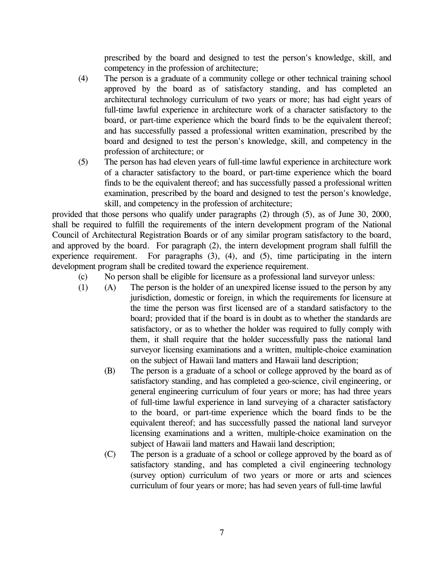prescribed by the board and designed to test the person's knowledge, skill, and competency in the profession of architecture;

- (4) The person is a graduate of a community college or other technical training school approved by the board as of satisfactory standing, and has completed an architectural technology curriculum of two years or more; has had eight years of full-time lawful experience in architecture work of a character satisfactory to the board, or part-time experience which the board finds to be the equivalent thereof; and has successfully passed a professional written examination, prescribed by the board and designed to test the person's knowledge, skill, and competency in the profession of architecture; or
- (5) The person has had eleven years of full-time lawful experience in architecture work of a character satisfactory to the board, or part-time experience which the board finds to be the equivalent thereof; and has successfully passed a professional written examination, prescribed by the board and designed to test the person's knowledge, skill, and competency in the profession of architecture;

provided that those persons who qualify under paragraphs (2) through (5), as of June 30, 2000, shall be required to fulfill the requirements of the intern development program of the National Council of Architectural Registration Boards or of any similar program satisfactory to the board, and approved by the board. For paragraph (2), the intern development program shall fulfill the experience requirement. For paragraphs (3), (4), and (5), time participating in the intern development program shall be credited toward the experience requirement.

- (c) No person shall be eligible for licensure as a professional land surveyor unless:
- (1) (A) The person is the holder of an unexpired license issued to the person by any jurisdiction, domestic or foreign, in which the requirements for licensure at the time the person was first licensed are of a standard satisfactory to the board; provided that if the board is in doubt as to whether the standards are satisfactory, or as to whether the holder was required to fully comply with them, it shall require that the holder successfully pass the national land surveyor licensing examinations and a written, multiple-choice examination on the subject of Hawaii land matters and Hawaii land description;
	- (B) The person is a graduate of a school or college approved by the board as of satisfactory standing, and has completed a geo-science, civil engineering, or general engineering curriculum of four years or more; has had three years of full-time lawful experience in land surveying of a character satisfactory to the board, or part-time experience which the board finds to be the equivalent thereof; and has successfully passed the national land surveyor licensing examinations and a written, multiple-choice examination on the subject of Hawaii land matters and Hawaii land description;
	- (C) The person is a graduate of a school or college approved by the board as of satisfactory standing, and has completed a civil engineering technology (survey option) curriculum of two years or more or arts and sciences curriculum of four years or more; has had seven years of full-time lawful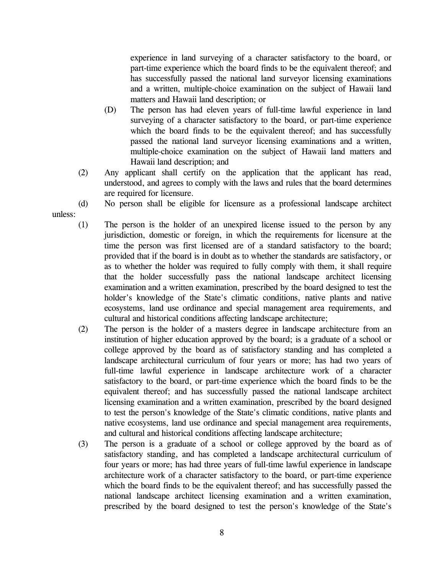experience in land surveying of a character satisfactory to the board, or part-time experience which the board finds to be the equivalent thereof; and has successfully passed the national land surveyor licensing examinations and a written, multiple-choice examination on the subject of Hawaii land matters and Hawaii land description; or

- (D) The person has had eleven years of full-time lawful experience in land surveying of a character satisfactory to the board, or part-time experience which the board finds to be the equivalent thereof; and has successfully passed the national land surveyor licensing examinations and a written, multiple-choice examination on the subject of Hawaii land matters and Hawaii land description; and
- (2) Any applicant shall certify on the application that the applicant has read, understood, and agrees to comply with the laws and rules that the board determines are required for licensure.
- 

unless:

- (d) No person shall be eligible for licensure as a professional landscape architect
- (1) The person is the holder of an unexpired license issued to the person by any jurisdiction, domestic or foreign, in which the requirements for licensure at the time the person was first licensed are of a standard satisfactory to the board; provided that if the board is in doubt as to whether the standards are satisfactory, or as to whether the holder was required to fully comply with them, it shall require that the holder successfully pass the national landscape architect licensing examination and a written examination, prescribed by the board designed to test the holder's knowledge of the State's climatic conditions, native plants and native ecosystems, land use ordinance and special management area requirements, and cultural and historical conditions affecting landscape architecture;
- (2) The person is the holder of a masters degree in landscape architecture from an institution of higher education approved by the board; is a graduate of a school or college approved by the board as of satisfactory standing and has completed a landscape architectural curriculum of four years or more; has had two years of full-time lawful experience in landscape architecture work of a character satisfactory to the board, or part-time experience which the board finds to be the equivalent thereof; and has successfully passed the national landscape architect licensing examination and a written examination, prescribed by the board designed to test the person's knowledge of the State's climatic conditions, native plants and native ecosystems, land use ordinance and special management area requirements, and cultural and historical conditions affecting landscape architecture;
- (3) The person is a graduate of a school or college approved by the board as of satisfactory standing, and has completed a landscape architectural curriculum of four years or more; has had three years of full-time lawful experience in landscape architecture work of a character satisfactory to the board, or part-time experience which the board finds to be the equivalent thereof; and has successfully passed the national landscape architect licensing examination and a written examination, prescribed by the board designed to test the person's knowledge of the State's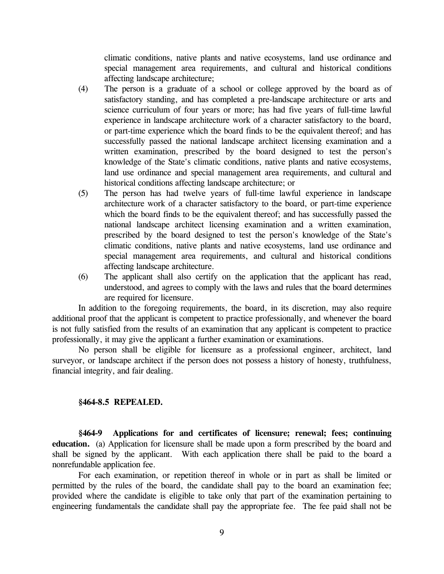climatic conditions, native plants and native ecosystems, land use ordinance and special management area requirements, and cultural and historical conditions affecting landscape architecture;

- (4) The person is a graduate of a school or college approved by the board as of satisfactory standing, and has completed a pre-landscape architecture or arts and science curriculum of four years or more; has had five years of full-time lawful experience in landscape architecture work of a character satisfactory to the board, or part-time experience which the board finds to be the equivalent thereof; and has successfully passed the national landscape architect licensing examination and a written examination, prescribed by the board designed to test the person's knowledge of the State's climatic conditions, native plants and native ecosystems, land use ordinance and special management area requirements, and cultural and historical conditions affecting landscape architecture; or
- (5) The person has had twelve years of full-time lawful experience in landscape architecture work of a character satisfactory to the board, or part-time experience which the board finds to be the equivalent thereof; and has successfully passed the national landscape architect licensing examination and a written examination, prescribed by the board designed to test the person's knowledge of the State's climatic conditions, native plants and native ecosystems, land use ordinance and special management area requirements, and cultural and historical conditions affecting landscape architecture.
- (6) The applicant shall also certify on the application that the applicant has read, understood, and agrees to comply with the laws and rules that the board determines are required for licensure.

In addition to the foregoing requirements, the board, in its discretion, may also require additional proof that the applicant is competent to practice professionally, and whenever the board is not fully satisfied from the results of an examination that any applicant is competent to practice professionally, it may give the applicant a further examination or examinations.

No person shall be eligible for licensure as a professional engineer, architect, land surveyor, or landscape architect if the person does not possess a history of honesty, truthfulness, financial integrity, and fair dealing.

### **§464-8.5 REPEALED.**

**§464-9 Applications for and certificates of licensure; renewal; fees; continuing education.** (a) Application for licensure shall be made upon a form prescribed by the board and shall be signed by the applicant. With each application there shall be paid to the board a nonrefundable application fee.

For each examination, or repetition thereof in whole or in part as shall be limited or permitted by the rules of the board, the candidate shall pay to the board an examination fee; provided where the candidate is eligible to take only that part of the examination pertaining to engineering fundamentals the candidate shall pay the appropriate fee. The fee paid shall not be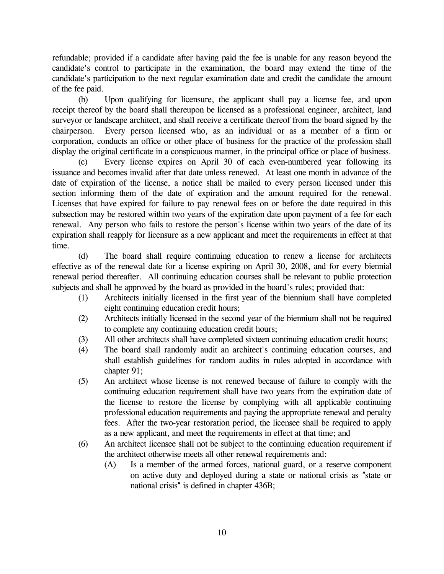refundable; provided if a candidate after having paid the fee is unable for any reason beyond the candidate's control to participate in the examination, the board may extend the time of the candidate's participation to the next regular examination date and credit the candidate the amount of the fee paid.

(b) Upon qualifying for licensure, the applicant shall pay a license fee, and upon receipt thereof by the board shall thereupon be licensed as a professional engineer, architect, land surveyor or landscape architect, and shall receive a certificate thereof from the board signed by the chairperson. Every person licensed who, as an individual or as a member of a firm or corporation, conducts an office or other place of business for the practice of the profession shall display the original certificate in a conspicuous manner, in the principal office or place of business.

(c) Every license expires on April 30 of each even-numbered year following its issuance and becomes invalid after that date unless renewed. At least one month in advance of the date of expiration of the license, a notice shall be mailed to every person licensed under this section informing them of the date of expiration and the amount required for the renewal. Licenses that have expired for failure to pay renewal fees on or before the date required in this subsection may be restored within two years of the expiration date upon payment of a fee for each renewal. Any person who fails to restore the person's license within two years of the date of its expiration shall reapply for licensure as a new applicant and meet the requirements in effect at that time.

(d) The board shall require continuing education to renew a license for architects effective as of the renewal date for a license expiring on April 30, 2008, and for every biennial renewal period thereafter. All continuing education courses shall be relevant to public protection subjects and shall be approved by the board as provided in the board's rules; provided that:

- (1) Architects initially licensed in the first year of the biennium shall have completed eight continuing education credit hours;
- (2) Architects initially licensed in the second year of the biennium shall not be required to complete any continuing education credit hours;
- (3) All other architects shall have completed sixteen continuing education credit hours;
- (4) The board shall randomly audit an architect's continuing education courses, and shall establish guidelines for random audits in rules adopted in accordance with chapter 91;
- (5) An architect whose license is not renewed because of failure to comply with the continuing education requirement shall have two years from the expiration date of the license to restore the license by complying with all applicable continuing professional education requirements and paying the appropriate renewal and penalty fees. After the two-year restoration period, the licensee shall be required to apply as a new applicant, and meet the requirements in effect at that time; and
- (6) An architect licensee shall not be subject to the continuing education requirement if the architect otherwise meets all other renewal requirements and:
	- (A) Is a member of the armed forces, national guard, or a reserve component on active duty and deployed during a state or national crisis as ″state or national crisis″ is defined in chapter 436B;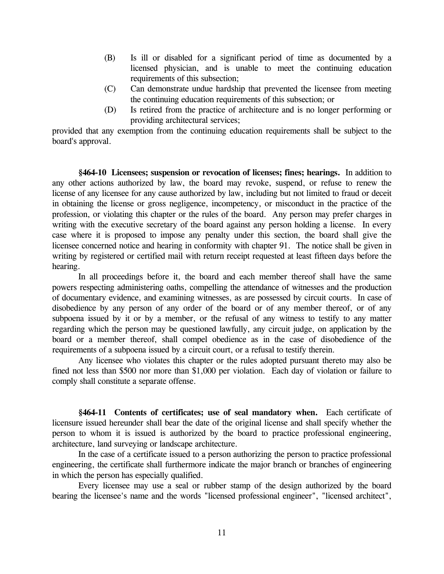- (B) Is ill or disabled for a significant period of time as documented by a licensed physician, and is unable to meet the continuing education requirements of this subsection;
- (C) Can demonstrate undue hardship that prevented the licensee from meeting the continuing education requirements of this subsection; or
- (D) Is retired from the practice of architecture and is no longer performing or providing architectural services;

provided that any exemption from the continuing education requirements shall be subject to the board's approval.

**§464-10 Licensees; suspension or revocation of licenses; fines; hearings.** In addition to any other actions authorized by law, the board may revoke, suspend, or refuse to renew the license of any licensee for any cause authorized by law, including but not limited to fraud or deceit in obtaining the license or gross negligence, incompetency, or misconduct in the practice of the profession, or violating this chapter or the rules of the board. Any person may prefer charges in writing with the executive secretary of the board against any person holding a license. In every case where it is proposed to impose any penalty under this section, the board shall give the licensee concerned notice and hearing in conformity with chapter 91. The notice shall be given in writing by registered or certified mail with return receipt requested at least fifteen days before the hearing.

In all proceedings before it, the board and each member thereof shall have the same powers respecting administering oaths, compelling the attendance of witnesses and the production of documentary evidence, and examining witnesses, as are possessed by circuit courts. In case of disobedience by any person of any order of the board or of any member thereof, or of any subpoena issued by it or by a member, or the refusal of any witness to testify to any matter regarding which the person may be questioned lawfully, any circuit judge, on application by the board or a member thereof, shall compel obedience as in the case of disobedience of the requirements of a subpoena issued by a circuit court, or a refusal to testify therein.

Any licensee who violates this chapter or the rules adopted pursuant thereto may also be fined not less than \$500 nor more than \$1,000 per violation. Each day of violation or failure to comply shall constitute a separate offense.

**§464-11 Contents of certificates; use of seal mandatory when.** Each certificate of licensure issued hereunder shall bear the date of the original license and shall specify whether the person to whom it is issued is authorized by the board to practice professional engineering, architecture, land surveying or landscape architecture.

In the case of a certificate issued to a person authorizing the person to practice professional engineering, the certificate shall furthermore indicate the major branch or branches of engineering in which the person has especially qualified.

Every licensee may use a seal or rubber stamp of the design authorized by the board bearing the licensee's name and the words "licensed professional engineer", "licensed architect",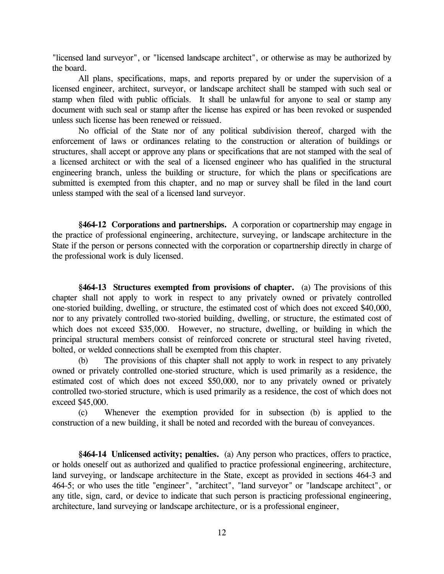"licensed land surveyor", or "licensed landscape architect", or otherwise as may be authorized by the board.

All plans, specifications, maps, and reports prepared by or under the supervision of a licensed engineer, architect, surveyor, or landscape architect shall be stamped with such seal or stamp when filed with public officials. It shall be unlawful for anyone to seal or stamp any document with such seal or stamp after the license has expired or has been revoked or suspended unless such license has been renewed or reissued.

No official of the State nor of any political subdivision thereof, charged with the enforcement of laws or ordinances relating to the construction or alteration of buildings or structures, shall accept or approve any plans or specifications that are not stamped with the seal of a licensed architect or with the seal of a licensed engineer who has qualified in the structural engineering branch, unless the building or structure, for which the plans or specifications are submitted is exempted from this chapter, and no map or survey shall be filed in the land court unless stamped with the seal of a licensed land surveyor.

**§464-12 Corporations and partnerships.** A corporation or copartnership may engage in the practice of professional engineering, architecture, surveying, or landscape architecture in the State if the person or persons connected with the corporation or copartnership directly in charge of the professional work is duly licensed.

**§464-13 Structures exempted from provisions of chapter.** (a) The provisions of this chapter shall not apply to work in respect to any privately owned or privately controlled one-storied building, dwelling, or structure, the estimated cost of which does not exceed \$40,000, nor to any privately controlled two-storied building, dwelling, or structure, the estimated cost of which does not exceed \$35,000. However, no structure, dwelling, or building in which the principal structural members consist of reinforced concrete or structural steel having riveted, bolted, or welded connections shall be exempted from this chapter.

(b) The provisions of this chapter shall not apply to work in respect to any privately owned or privately controlled one-storied structure, which is used primarily as a residence, the estimated cost of which does not exceed \$50,000, nor to any privately owned or privately controlled two-storied structure, which is used primarily as a residence, the cost of which does not exceed \$45,000.

(c) Whenever the exemption provided for in subsection (b) is applied to the construction of a new building, it shall be noted and recorded with the bureau of conveyances.

**§464-14 Unlicensed activity; penalties.** (a) Any person who practices, offers to practice, or holds oneself out as authorized and qualified to practice professional engineering, architecture, land surveying, or landscape architecture in the State, except as provided in sections 464-3 and 464-5; or who uses the title "engineer", "architect", "land surveyor" or "landscape architect", or any title, sign, card, or device to indicate that such person is practicing professional engineering, architecture, land surveying or landscape architecture, or is a professional engineer,